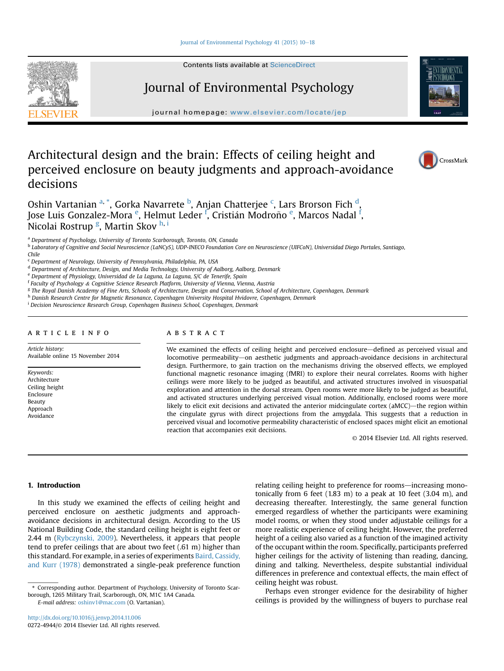#### [Journal of Environmental Psychology 41 \(2015\) 10](http://dx.doi.org/10.1016/j.jenvp.2014.11.006)-[18](http://dx.doi.org/10.1016/j.jenvp.2014.11.006)

Contents lists available at ScienceDirect

# Journal of Environmental Psychology

journal homepage: [www.elsevier.com/locate/jep](http://www.elsevier.com/locate/jep)

# Architectural design and the brain: Effects of ceiling height and perceived enclosure on beauty judgments and approach-avoidance decisions

Oshin Vartanian <sup>a, \*</sup>, Gorka Navarrete <sup>b</sup>, Anjan Chatterjee <sup>c</sup>, Lars Brorson Fich <sup>d</sup>, Jose Luis Gonzalez-Mora <sup>e</sup>, Helmut Leder <sup>f</sup>, Cristián Modroño <sup>e</sup>, Marcos Nadal <sup>f</sup>, Nicolai Rostrup <sup>g</sup>, Martin Skov <sup>h, i</sup>

<sup>a</sup> Department of Psychology, University of Toronto Scarborough, Toronto, ON, Canada

<sup>b</sup> Laboratory of Cognitive and Social Neuroscience (LaNCyS), UDP-INECO Foundation Core on Neuroscience (UIFCoN), Universidad Diego Portales, Santiago, Chile

<sup>d</sup> Department of Architecture, Design, and Media Technology, University of Aalborg, Aalborg, Denmark

<sup>e</sup> Department of Physiology, Universidad de La Laguna, La Laguna, S/C de Tenerife, Spain

<sup>f</sup> Faculty of Psychology & Cognitive Science Research Platform, University of Vienna, Vienna, Austria

<sup>g</sup> The Royal Danish Academy of Fine Arts, Schools of Architecture, Design and Conservation, School of Architecture, Copenhagen, Denmark

h Danish Research Centre for Magnetic Resonance, Copenhagen University Hospital Hvidovre, Copenhagen, Denmark

<sup>i</sup> Decision Neuroscience Research Group, Copenhagen Business School, Copenhagen, Denmark

## article info

## ABSTRACT

Article history: Available online 15 November 2014

Keywords: Architecture Ceiling height Enclosure Beauty Approach Avoidance

We examined the effects of ceiling height and perceived enclosure—defined as perceived visual and locomotive permeability-on aesthetic judgments and approach-avoidance decisions in architectural design. Furthermore, to gain traction on the mechanisms driving the observed effects, we employed functional magnetic resonance imaging (fMRI) to explore their neural correlates. Rooms with higher ceilings were more likely to be judged as beautiful, and activated structures involved in visuospatial exploration and attention in the dorsal stream. Open rooms were more likely to be judged as beautiful, and activated structures underlying perceived visual motion. Additionally, enclosed rooms were more likely to elicit exit decisions and activated the anterior midcingulate cortex ( $\Delta MCC$ )—the region within the cingulate gyrus with direct projections from the amygdala. This suggests that a reduction in perceived visual and locomotive permeability characteristic of enclosed spaces might elicit an emotional reaction that accompanies exit decisions.

© 2014 Elsevier Ltd. All rights reserved.

## 1. Introduction

In this study we examined the effects of ceiling height and perceived enclosure on aesthetic judgments and approachavoidance decisions in architectural design. According to the US National Building Code, the standard ceiling height is eight feet or 2.44 m [\(Rybczynski, 2009](#page-8-0)). Nevertheless, it appears that people tend to prefer ceilings that are about two feet (.61 m) higher than this standard. For example, in a series of experiments [Baird, Cassidy,](#page-7-0) [and Kurr \(1978\)](#page-7-0) demonstrated a single-peak preference function

E-mail address: [oshinv1@mac.com](mailto:oshinv1@mac.com) (O. Vartanian).

relating ceiling height to preference for rooms—increasing monotonically from 6 feet  $(1.83 \text{ m})$  to a peak at 10 feet  $(3.04 \text{ m})$ , and decreasing thereafter. Interestingly, the same general function emerged regardless of whether the participants were examining model rooms, or when they stood under adjustable ceilings for a more realistic experience of ceiling height. However, the preferred height of a ceiling also varied as a function of the imagined activity of the occupant within the room. Specifically, participants preferred higher ceilings for the activity of listening than reading, dancing, dining and talking. Nevertheless, despite substantial individual differences in preference and contextual effects, the main effect of ceiling height was robust.

Perhaps even stronger evidence for the desirability of higher ceilings is provided by the willingness of buyers to purchase real





CrossMark

<sup>c</sup> Department of Neurology, University of Pennsylvania, Philadelphia, PA, USA

<sup>\*</sup> Corresponding author. Department of Psychology, University of Toronto Scarborough, 1265 Military Trail, Scarborough, ON, M1C 1A4 Canada.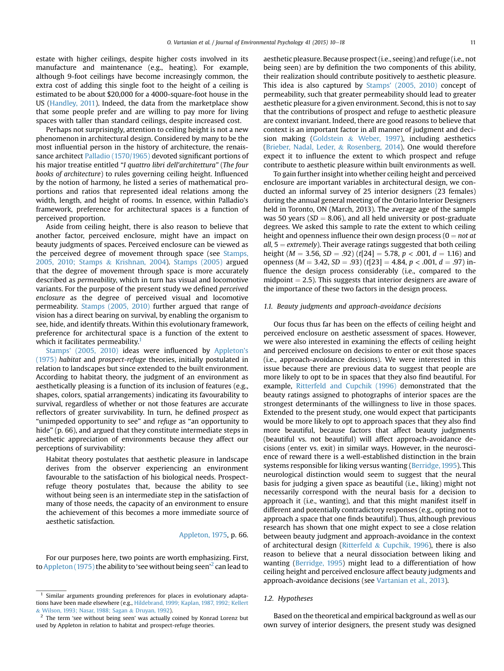estate with higher ceilings, despite higher costs involved in its manufacture and maintenance (e.g., heating). For example, although 9-foot ceilings have become increasingly common, the extra cost of adding this single foot to the height of a ceiling is estimated to be about \$20,000 for a 4000-square-foot house in the US ([Handley, 2011\)](#page-8-0). Indeed, the data from the marketplace show that some people prefer and are willing to pay more for living spaces with taller than standard ceilings, despite increased cost.

Perhaps not surprisingly, attention to ceiling height is not a new phenomenon in architectural design. Considered by many to be the most influential person in the history of architecture, the renaissance architect [Palladio \(1570/1965\)](#page-8-0) devoted significant portions of his major treatise entitled "I quattro libri dell'architettura" (The four books of architecture) to rules governing ceiling height. Influenced by the notion of harmony, he listed a series of mathematical proportions and ratios that represented ideal relations among the width, length, and height of rooms. In essence, within Palladio's framework, preference for architectural spaces is a function of perceived proportion.

Aside from ceiling height, there is also reason to believe that another factor, perceived enclosure, might have an impact on beauty judgments of spaces. Perceived enclosure can be viewed as the perceived degree of movement through space (see [Stamps,](#page-8-0) [2005, 2010; Stamps](#page-8-0) & [Krishnan, 2004](#page-8-0)). [Stamps \(2005\)](#page-8-0) argued that the degree of movement through space is more accurately described as permeability, which in turn has visual and locomotive variants. For the purpose of the present study we defined perceived enclosure as the degree of perceived visual and locomotive permeability. [Stamps \(2005, 2010\)](#page-8-0) further argued that range of vision has a direct bearing on survival, by enabling the organism to see, hide, and identify threats. Within this evolutionary framework, preference for architectural space is a function of the extent to which it facilitates permeability.<sup>1</sup>

[Stamps' \(2005, 2010\)](#page-8-0) ideas were influenced by [Appleton's](#page-7-0) [\(1975\)](#page-7-0) habitat and prospect-refuge theories, initially postulated in relation to landscapes but since extended to the built environment. According to habitat theory, the judgment of an environment as aesthetically pleasing is a function of its inclusion of features (e.g., shapes, colors, spatial arrangements) indicating its favourability to survival, regardless of whether or not those features are accurate reflectors of greater survivability. In turn, he defined prospect as "unimpeded opportunity to see" and refuge as "an opportunity to hide" (p. 66), and argued that they constitute intermediate steps in aesthetic appreciation of environments because they affect our perceptions of survivability:

Habitat theory postulates that aesthetic pleasure in landscape derives from the observer experiencing an environment favourable to the satisfaction of his biological needs. Prospectrefuge theory postulates that, because the ability to see without being seen is an intermediate step in the satisfaction of many of those needs, the capacity of an environment to ensure the achievement of this becomes a more immediate source of aesthetic satisfaction.

#### [Appleton, 1975](#page-7-0), p. 66.

For our purposes here, two points are worth emphasizing. First, to [Appleton \(1975\)](#page-7-0) the ability to 'see without being seen' $^2$  can lead to

aesthetic pleasure. Because prospect (i.e., seeing) and refuge (i.e., not being seen) are by definition the two components of this ability, their realization should contribute positively to aesthetic pleasure. This idea is also captured by [Stamps' \(2005, 2010\)](#page-8-0) concept of permeability, such that greater permeability should lead to greater aesthetic pleasure for a given environment. Second, this is not to say that the contributions of prospect and refuge to aesthetic pleasure are context invariant. Indeed, there are good reasons to believe that context is an important factor in all manner of judgment and decision making ([Goldstein](#page-8-0) & [Weber, 1997](#page-8-0)), including aesthetics ([Brieber, Nadal, Leder,](#page-7-0) & [Rosenberg, 2014](#page-7-0)). One would therefore expect it to influence the extent to which prospect and refuge contribute to aesthetic pleasure within built environments as well.

To gain further insight into whether ceiling height and perceived enclosure are important variables in architectural design, we conducted an informal survey of 25 interior designers (23 females) during the annual general meeting of the Ontario Interior Designers held in Toronto, ON (March, 2013). The average age of the sample was 50 years ( $SD = 8.06$ ), and all held university or post-graduate degrees. We asked this sample to rate the extent to which ceiling height and openness influence their own design process ( $0 = not$  at all,  $5 =$  extremely). Their average ratings suggested that both ceiling height ( $M = 3.56$ ,  $SD = .92$ ) (t[24] = 5.78, p < .001, d = 1.16) and openness ( $M = 3.42$ ,  $SD = .93$ ) (t[23] = 4.84, p < .001, d = .97) influence the design process considerably (i.e., compared to the midpoint  $= 2.5$ ). This suggests that interior designers are aware of the importance of these two factors in the design process.

#### 1.1. Beauty judgments and approach-avoidance decisions

Our focus thus far has been on the effects of ceiling height and perceived enclosure on aesthetic assessment of spaces. However, we were also interested in examining the effects of ceiling height and perceived enclosure on decisions to enter or exit those spaces (i.e., approach-avoidance decisions). We were interested in this issue because there are previous data to suggest that people are more likely to opt to be in spaces that they also find beautiful. For example, [Ritterfeld and Cupchik \(1996\)](#page-8-0) demonstrated that the beauty ratings assigned to photographs of interior spaces are the strongest determinants of the willingness to live in those spaces. Extended to the present study, one would expect that participants would be more likely to opt to approach spaces that they also find more beautiful, because factors that affect beauty judgments (beautiful vs. not beautiful) will affect approach-avoidance decisions (enter vs. exit) in similar ways. However, in the neuroscience of reward there is a well-established distinction in the brain systems responsible for liking versus wanting [\(Berridge, 1995](#page-7-0)). This neurological distinction would seem to suggest that the neural basis for judging a given space as beautiful (i.e., liking) might not necessarily correspond with the neural basis for a decision to approach it (i.e., wanting), and that this might manifest itself in different and potentially contradictory responses (e.g., opting not to approach a space that one finds beautiful). Thus, although previous research has shown that one might expect to see a close relation between beauty judgment and approach-avoidance in the context of architectural design [\(Ritterfeld](#page-8-0)  $&$  [Cupchik, 1996\)](#page-8-0), there is also reason to believe that a neural dissociation between liking and wanting [\(Berridge, 1995\)](#page-7-0) might lead to a differentiation of how ceiling height and perceived enclosure affect beauty judgments and approach-avoidance decisions (see [Vartanian et al., 2013\)](#page-8-0).

#### 1.2. Hypotheses

Based on the theoretical and empirical background as well as our own survey of interior designers, the present study was designed

Similar arguments grounding preferences for places in evolutionary adaptations have been made elsewhere (e.g., [Hildebrand, 1999; Kaplan, 1987, 1992; Kellert](#page-8-0) & [Wilson, 1993; Nasar, 1988; Sagan](#page-8-0) & [Druyan, 1992\)](#page-8-0).

 $2$  The term 'see without being seen' was actually coined by Konrad Lorenz but used by Appleton in relation to habitat and prospect-refuge theories.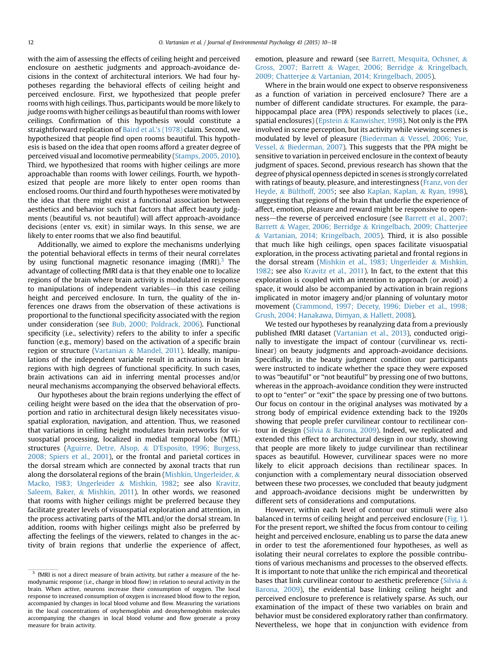with the aim of assessing the effects of ceiling height and perceived enclosure on aesthetic judgments and approach-avoidance decisions in the context of architectural interiors. We had four hypotheses regarding the behavioral effects of ceiling height and perceived enclosure. First, we hypothesized that people prefer rooms with high ceilings. Thus, participants would be more likely to judge rooms with higher ceilings as beautiful than rooms with lower ceilings. Confirmation of this hypothesis would constitute a straightforward replication of [Baird et al.'s \(1978\)](#page-7-0) claim. Second, we hypothesized that people find open rooms beautiful. This hypothesis is based on the idea that open rooms afford a greater degree of perceived visual and locomotive permeability ([Stamps, 2005, 2010\)](#page-8-0). Third, we hypothesized that rooms with higher ceilings are more approachable than rooms with lower ceilings. Fourth, we hypothesized that people are more likely to enter open rooms than enclosed rooms. Our third and fourth hypotheses were motivated by the idea that there might exist a functional association between aesthetics and behavior such that factors that affect beauty judgments (beautiful vs. not beautiful) will affect approach-avoidance decisions (enter vs. exit) in similar ways. In this sense, we are likely to enter rooms that we also find beautiful.

Additionally, we aimed to explore the mechanisms underlying the potential behavioral effects in terms of their neural correlates by using functional magnetic resonance imaging  $(fMRI)^3$  The advantage of collecting fMRI data is that they enable one to localize regions of the brain where brain activity is modulated in response to manipulations of independent variables—in this case ceiling height and perceived enclosure. In turn, the quality of the inferences one draws from the observation of these activations is proportional to the functional specificity associated with the region under consideration (see [Bub, 2000; Poldrack, 2006\)](#page-7-0). Functional specificity (i.e., selectivity) refers to the ability to infer a specific function (e.g., memory) based on the activation of a specific brain region or structure [\(Vartanian](#page-8-0) & [Mandel, 2011](#page-8-0)). Ideally, manipulations of the independent variable result in activations in brain regions with high degrees of functional specificity. In such cases, brain activations can aid in inferring mental processes and/or neural mechanisms accompanying the observed behavioral effects.

Our hypotheses about the brain regions underlying the effect of ceiling height were based on the idea that the observation of proportion and ratio in architectural design likely necessitates visuospatial exploration, navigation, and attention. Thus, we reasoned that variations in ceiling height modulates brain networks for visuospatial processing, localized in medial temporal lobe (MTL) structures ([Aguirre, Detre, Alsop,](#page-7-0) & [D'Esposito, 1996; Burgess,](#page-7-0) [2008; Spiers et al., 2001\)](#page-7-0), or the frontal and parietal cortices in the dorsal stream which are connected by axonal tracts that run along the dorsolateral regions of the brain [\(Mishkin, Ungerleider,](#page-8-0) & [Macko, 1983; Ungerleider](#page-8-0) & [Mishkin, 1982;](#page-8-0) see also [Kravitz,](#page-8-0) [Saleem, Baker,](#page-8-0) & [Mishkin, 2011\)](#page-8-0). In other words, we reasoned that rooms with higher ceilings might be preferred because they facilitate greater levels of visuospatial exploration and attention, in the process activating parts of the MTL and/or the dorsal stream. In addition, rooms with higher ceilings might also be preferred by affecting the feelings of the viewers, related to changes in the activity of brain regions that underlie the experience of affect, emotion, pleasure and reward (see [Barrett, Mesquita, Ochsner,](#page-7-0) & [Gross, 2007; Barrett](#page-7-0) & [Wager, 2006; Berridge](#page-7-0) & [Kringelbach,](#page-7-0) [2009; Chatterjee](#page-7-0) & [Vartanian, 2014; Kringelbach, 2005](#page-7-0)).

Where in the brain would one expect to observe responsiveness as a function of variation in perceived enclosure? There are a number of different candidate structures. For example, the parahippocampal place area (PPA) responds selectively to places (i.e., spatial enclosures) [\(Epstein](#page-7-0) & [Kanwisher, 1998\)](#page-7-0). Not only is the PPA involved in scene perception, but its activity while viewing scenes is modulated by level of pleasure [\(Biederman](#page-7-0) & [Vessel, 2006; Yue,](#page-7-0) [Vessel,](#page-7-0) & [Biederman, 2007](#page-7-0)). This suggests that the PPA might be sensitive to variation in perceived enclosure in the context of beauty judgment of spaces. Second, previous research has shown that the degree of physical openness depicted in scenes is strongly correlated with ratings of beauty, pleasure, and interestingness [\(Franz, von der](#page-7-0) [Heyde,](#page-7-0) & [Bülthoff, 2005](#page-7-0); see also [Kaplan, Kaplan,](#page-8-0) & [Ryan, 1998\)](#page-8-0), suggesting that regions of the brain that underlie the experience of affect, emotion, pleasure and reward might be responsive to open-ness—the reverse of perceived enclosure (see [Barrett et al., 2007;](#page-7-0) [Barrett](#page-7-0) & [Wager, 2006; Berridge](#page-7-0) & [Kringelbach, 2009; Chatterjee](#page-7-0) & [Vartanian, 2014; Kringelbach, 2005\)](#page-7-0). Third, it is also possible that much like high ceilings, open spaces facilitate visuospatial exploration, in the process activating parietal and frontal regions in the dorsal stream ([Mishkin et al., 1983; Ungerleider](#page-8-0) & [Mishkin,](#page-8-0) [1982](#page-8-0); see also [Kravitz et al., 2011\)](#page-8-0). In fact, to the extent that this exploration is coupled with an intention to approach (or avoid) a space, it would also be accompanied by activation in brain regions implicated in motor imagery and/or planning of voluntary motor movement ([Crammond, 1997; Decety, 1996; Dieber et al., 1998;](#page-7-0) [Grush, 2004; Hanakawa, Dimyan,](#page-7-0) & [Hallett, 2008\)](#page-7-0).

We tested our hypotheses by reanalyzing data from a previously published fMRI dataset ([Vartanian et al., 2013\)](#page-8-0), conducted originally to investigate the impact of contour (curvilinear vs. rectilinear) on beauty judgments and approach-avoidance decisions. Specifically, in the beauty judgment condition our participants were instructed to indicate whether the space they were exposed to was "beautiful" or "not beautiful" by pressing one of two buttons, whereas in the approach-avoidance condition they were instructed to opt to "enter" or "exit" the space by pressing one of two buttons. Our focus on contour in the original analyses was motivated by a strong body of empirical evidence extending back to the 1920s showing that people prefer curvilinear contour to rectilinear contour in design ([Silvia](#page-8-0) & [Barona, 2009\)](#page-8-0). Indeed, we replicated and extended this effect to architectural design in our study, showing that people are more likely to judge curvilinear than rectilinear spaces as beautiful. However, curvilinear spaces were no more likely to elicit approach decisions than rectilinear spaces. In conjunction with a complementary neural dissociation observed between these two processes, we concluded that beauty judgment and approach-avoidance decisions might be underwritten by different sets of considerations and computations.

However, within each level of contour our stimuli were also balanced in terms of ceiling height and perceived enclosure ([Fig. 1\)](#page-3-0). For the present report, we shifted the focus from contour to ceiling height and perceived enclosure, enabling us to parse the data anew in order to test the aforementioned four hypotheses, as well as isolating their neural correlates to explore the possible contributions of various mechanisms and processes to the observed effects. It is important to note that unlike the rich empirical and theoretical bases that link curvilinear contour to aesthetic preference [\(Silvia](#page-8-0)  $\&$ [Barona, 2009\)](#page-8-0), the evidential base linking ceiling height and perceived enclosure to preference is relatively sparse. As such, our examination of the impact of these two variables on brain and behavior must be considered exploratory rather than confirmatory. Nevertheless, we hope that in conjunction with evidence from

<sup>&</sup>lt;sup>3</sup> fMRI is not a direct measure of brain activity, but rather a measure of the hemodynamic response (i.e., change in blood flow) in relation to neural activity in the brain. When active, neurons increase their consumption of oxygen. The local response to increased consumption of oxygen is increased blood flow to the region, accompanied by changes in local blood volume and flow. Measuring the variations in the local concentrations of oxyhemoglobin and deoxyhemoglobin molecules accompanying the changes in local blood volume and flow generate a proxy measure for brain activity.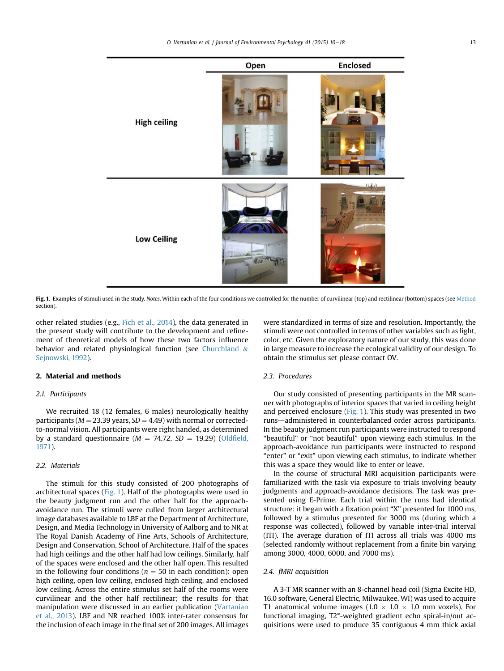<span id="page-3-0"></span>

Fig. 1. Examples of stimuli used in the study. Notes. Within each of the four conditions we controlled for the number of curvilinear (top) and rectilinear (bottom) spaces (see Method section).

other related studies (e.g., [Fich et al., 2014\)](#page-7-0), the data generated in the present study will contribute to the development and refinement of theoretical models of how these two factors influence behavior and related physiological function (see [Churchland](#page-7-0) & [Sejnowski, 1992](#page-7-0)).

## 2. Material and methods

## 2.1. Participants

We recruited 18 (12 females, 6 males) neurologically healthy participants ( $M = 23.39$  years,  $SD = 4.49$ ) with normal or correctedto-normal vision. All participants were right handed, as determined by a standard questionnaire ( $M = 74.72$ ,  $SD = 19.29$ ) (Oldfi[eld,](#page-8-0) [1971\)](#page-8-0).

## 2.2. Materials

The stimuli for this study consisted of 200 photographs of architectural spaces (Fig. 1). Half of the photographs were used in the beauty judgment run and the other half for the approachavoidance run. The stimuli were culled from larger architectural image databases available to LBF at the Department of Architecture, Design, and Media Technology in University of Aalborg and to NR at The Royal Danish Academy of Fine Arts, Schools of Architecture, Design and Conservation, School of Architecture. Half of the spaces had high ceilings and the other half had low ceilings. Similarly, half of the spaces were enclosed and the other half open. This resulted in the following four conditions ( $n = 50$  in each condition): open high ceiling, open low ceiling, enclosed high ceiling, and enclosed low ceiling. Across the entire stimulus set half of the rooms were curvilinear and the other half rectilinear; the results for that manipulation were discussed in an earlier publication ([Vartanian](#page-8-0) [et al., 2013](#page-8-0)). LBF and NR reached 100% inter-rater consensus for the inclusion of each image in the final set of 200 images. All images

were standardized in terms of size and resolution. Importantly, the stimuli were not controlled in terms of other variables such as light, color, etc. Given the exploratory nature of our study, this was done in large measure to increase the ecological validity of our design. To obtain the stimulus set please contact OV.

## 2.3. Procedures

Our study consisted of presenting participants in the MR scanner with photographs of interior spaces that varied in ceiling height and perceived enclosure (Fig. 1). This study was presented in two runs-administered in counterbalanced order across participants. In the beauty judgment run participants were instructed to respond "beautiful" or "not beautiful" upon viewing each stimulus. In the approach-avoidance run participants were instructed to respond "enter" or "exit" upon viewing each stimulus, to indicate whether this was a space they would like to enter or leave.

In the course of structural MRI acquisition participants were familiarized with the task via exposure to trials involving beauty judgments and approach-avoidance decisions. The task was presented using E-Prime. Each trial within the runs had identical structure: it began with a fixation point "X" presented for 1000 ms, followed by a stimulus presented for 3000 ms (during which a response was collected), followed by variable inter-trial interval (ITI). The average duration of ITI across all trials was 4000 ms (selected randomly without replacement from a finite bin varying among 3000, 4000, 6000, and 7000 ms).

#### 2.4. fMRI acquisition

A 3-T MR scanner with an 8-channel head coil (Signa Excite HD, 16.0 software, General Electric, Milwaukee, WI) was used to acquire T1 anatomical volume images (1.0  $\times$  1.0  $\times$  1.0 mm voxels). For functional imaging, T2\*-weighted gradient echo spiral-in/out acquisitions were used to produce 35 contiguous 4 mm thick axial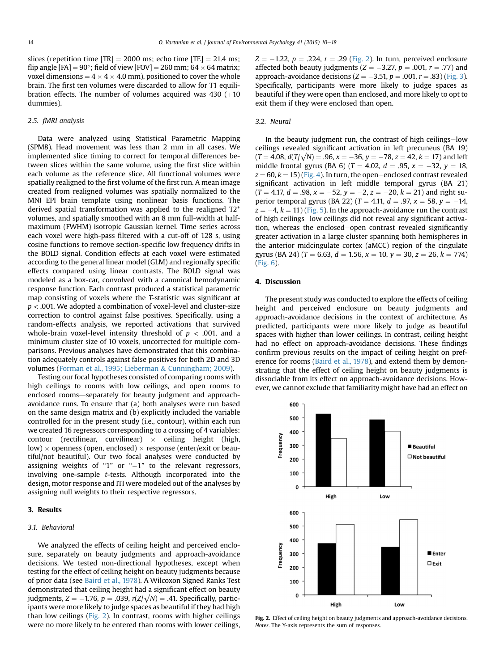slices (repetition time  $[TR] = 2000$  ms; echo time  $[TE] = 21.4$  ms; flip angle [FA]  $= 90^{\circ}$ ; field of view [FOV]  $= 260$  mm; 64  $\times$  64 matrix; voxel dimensions =  $4 \times 4 \times 4.0$  mm), positioned to cover the whole brain. The first ten volumes were discarded to allow for T1 equilibration effects. The number of volumes acquired was  $430 (+10)$ dummies).

#### 2.5. fMRI analysis

Data were analyzed using Statistical Parametric Mapping (SPM8). Head movement was less than 2 mm in all cases. We implemented slice timing to correct for temporal differences between slices within the same volume, using the first slice within each volume as the reference slice. All functional volumes were spatially realigned to the first volume of the first run. A mean image created from realigned volumes was spatially normalized to the MNI EPI brain template using nonlinear basis functions. The derived spatial transformation was applied to the realigned T2\* volumes, and spatially smoothed with an 8 mm full-width at halfmaximum (FWHM) isotropic Gaussian kernel. Time series across each voxel were high-pass filtered with a cut-off of 128 s, using cosine functions to remove section-specific low frequency drifts in the BOLD signal. Condition effects at each voxel were estimated according to the general linear model (GLM) and regionally specific effects compared using linear contrasts. The BOLD signal was modeled as a box-car, convolved with a canonical hemodynamic response function. Each contrast produced a statistical parametric map consisting of voxels where the T-statistic was significant at  $p < .001$ . We adopted a combination of voxel-level and cluster-size correction to control against false positives. Specifically, using a random-effects analysis, we reported activations that survived whole-brain voxel-level intensity threshold of  $p < .001$ , and a minimum cluster size of 10 voxels, uncorrected for multiple comparisons. Previous analyses have demonstrated that this combination adequately controls against false positives for both 2D and 3D volumes [\(Forman et al., 1995; Lieberman](#page-7-0) & [Cunningham; 2009\)](#page-7-0).

Testing our focal hypotheses consisted of comparing rooms with high ceilings to rooms with low ceilings, and open rooms to enclosed rooms-separately for beauty judgment and approachavoidance runs. To ensure that (a) both analyses were run based on the same design matrix and (b) explicitly included the variable controlled for in the present study (i.e., contour), within each run we created 16 regressors corresponding to a crossing of 4 variables:  $\text{contour}$  (rectilinear, curvilinear)  $\times$  ceiling height (high,  $\textsf{low})\times \textsf{openness}$  (open, enclosed)  $\times$  response (enter/exit or beautiful/not beautiful). Our two focal analyses were conducted by assigning weights of "1" or " $-1$ " to the relevant regressors, involving one-sample t-tests. Although incorporated into the design, motor response and ITI were modeled out of the analyses by assigning null weights to their respective regressors.

#### 3. Results

#### 3.1. Behavioral

We analyzed the effects of ceiling height and perceived enclosure, separately on beauty judgments and approach-avoidance decisions. We tested non-directional hypotheses, except when testing for the effect of ceiling height on beauty judgments because of prior data (see [Baird et al., 1978\)](#page-7-0). A Wilcoxon Signed Ranks Test demonstrated that ceiling height had a significant effect on beauty judgments,  $Z = -1.76$ ,  $p = .039$ ,  $r(Z/\sqrt{N}) = .41$ . Specifically, participants were more likely to judge spaces as beautiful if they had high than low ceilings (Fig. 2). In contrast, rooms with higher ceilings were no more likely to be entered than rooms with lower ceilings,  $Z = -1.22$ ,  $p = .224$ ,  $r = .29$  (Fig. 2). In turn, perceived enclosure affected both beauty judgments ( $Z = -3.27$ ,  $p = .001$ ,  $r = .77$ ) and approach-avoidance decisions ( $Z = -3.51$ ,  $p = .001$ ,  $r = .83$ ) [\(Fig. 3\)](#page-5-0). Specifically, participants were more likely to judge spaces as beautiful if they were open than enclosed, and more likely to opt to exit them if they were enclosed than open.

#### 3.2. Neural

In the beauty judgment run, the contrast of high ceilings-low ceilings revealed significant activation in left precuneus (BA 19)  $(T = 4.08, d(T/\sqrt{N}) = .96, x = -36, y = -78, z = 42, k = 17)$  and left middle frontal gyrus (BA 6) ( $T = 4.02$ ,  $d = .95$ ,  $x = -32$ ,  $y = 18$ ,  $z = 60$ ,  $k = 15$ ) [\(Fig. 4\)](#page-5-0). In turn, the open-enclosed contrast revealed significant activation in left middle temporal gyrus (BA 21)  $(T = 4.17, d = .98, x = -52, y = -2, z = -20, k = 21)$  and right superior temporal gyrus (BA 22) ( $T = 4.11$ ,  $d = .97$ ,  $x = 58$ ,  $y = -14$ ,  $z = -4$ ,  $k = 11$ ) ([Fig. 5\)](#page-6-0). In the approach-avoidance run the contrast of high ceilings-low ceilings did not reveal any significant activation, whereas the enclosed-open contrast revealed significantly greater activation in a large cluster spanning both hemispheres in the anterior midcingulate cortex (aMCC) region of the cingulate gyrus (BA 24) ( $T = 6.63$ ,  $d = 1.56$ ,  $x = 10$ ,  $y = 30$ ,  $z = 26$ ,  $k = 774$ ) ([Fig. 6\)](#page-6-0).

#### 4. Discussion

The present study was conducted to explore the effects of ceiling height and perceived enclosure on beauty judgments and approach-avoidance decisions in the context of architecture. As predicted, participants were more likely to judge as beautiful spaces with higher than lower ceilings. In contrast, ceiling height had no effect on approach-avoidance decisions. These findings confirm previous results on the impact of ceiling height on pref-erence for rooms [\(Baird et al., 1978\)](#page-7-0), and extend them by demonstrating that the effect of ceiling height on beauty judgments is dissociable from its effect on approach-avoidance decisions. However, we cannot exclude that familiarity might have had an effect on



Fig. 2. Effect of ceiling height on beauty judgments and approach-avoidance decisions. Notes. The Y-axis represents the sum of responses.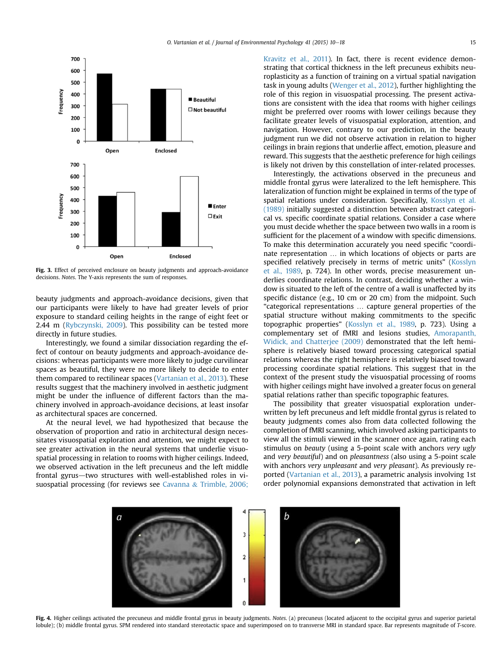<span id="page-5-0"></span>

Fig. 3. Effect of perceived enclosure on beauty judgments and approach-avoidance decisions. Notes. The Y-axis represents the sum of responses.

beauty judgments and approach-avoidance decisions, given that our participants were likely to have had greater levels of prior exposure to standard ceiling heights in the range of eight feet or 2.44 m ([Rybczynski, 2009](#page-8-0)). This possibility can be tested more directly in future studies.

Interestingly, we found a similar dissociation regarding the effect of contour on beauty judgments and approach-avoidance decisions: whereas participants were more likely to judge curvilinear spaces as beautiful, they were no more likely to decide to enter them compared to rectilinear spaces [\(Vartanian et al., 2013\)](#page-8-0). These results suggest that the machinery involved in aesthetic judgment might be under the influence of different factors than the machinery involved in approach-avoidance decisions, at least insofar as architectural spaces are concerned.

At the neural level, we had hypothesized that because the observation of proportion and ratio in architectural design necessitates visuospatial exploration and attention, we might expect to see greater activation in the neural systems that underlie visuospatial processing in relation to rooms with higher ceilings. Indeed, we observed activation in the left precuneus and the left middle frontal gyrus-two structures with well-established roles in visuospatial processing (for reviews see [Cavanna](#page-7-0) & [Trimble, 2006;](#page-7-0) [Kravitz et al., 2011](#page-7-0)). In fact, there is recent evidence demonstrating that cortical thickness in the left precuneus exhibits neuroplasticity as a function of training on a virtual spatial navigation task in young adults [\(Wenger et al., 2012\)](#page-8-0), further highlighting the role of this region in visuospatial processing. The present activations are consistent with the idea that rooms with higher ceilings might be preferred over rooms with lower ceilings because they facilitate greater levels of visuospatial exploration, attention, and navigation. However, contrary to our prediction, in the beauty judgment run we did not observe activation in relation to higher ceilings in brain regions that underlie affect, emotion, pleasure and reward. This suggests that the aesthetic preference for high ceilings is likely not driven by this constellation of inter-related processes.

Interestingly, the activations observed in the precuneus and middle frontal gyrus were lateralized to the left hemisphere. This lateralization of function might be explained in terms of the type of spatial relations under consideration. Specifically, [Kosslyn et al.](#page-8-0) [\(1989\)](#page-8-0) initially suggested a distinction between abstract categorical vs. specific coordinate spatial relations. Consider a case where you must decide whether the space between two walls in a room is sufficient for the placement of a window with specific dimensions. To make this determination accurately you need specific "coordinate representation … in which locations of objects or parts are specified relatively precisely in terms of metric units" ([Kosslyn](#page-8-0) [et al., 1989,](#page-8-0) p. 724). In other words, precise measurement underlies coordinate relations. In contrast, deciding whether a window is situated to the left of the centre of a wall is unaffected by its specific distance (e.g., 10 cm or 20 cm) from the midpoint. Such "categorical representations … capture general properties of the spatial structure without making commitments to the specific topographic properties" ([Kosslyn et al., 1989](#page-8-0), p. 723). Using a complementary set of fMRI and lesions studies, [Amorapanth,](#page-7-0) [Widick, and Chatterjee \(2009\)](#page-7-0) demonstrated that the left hemisphere is relatively biased toward processing categorical spatial relations whereas the right hemisphere is relatively biased toward processing coordinate spatial relations. This suggest that in the context of the present study the visuospatial processing of rooms with higher ceilings might have involved a greater focus on general spatial relations rather than specific topographic features.

The possibility that greater visuospatial exploration underwritten by left precuneus and left middle frontal gyrus is related to beauty judgments comes also from data collected following the completion of fMRI scanning, which involved asking participants to view all the stimuli viewed in the scanner once again, rating each stimulus on beauty (using a 5-point scale with anchors very ugly and very beautiful) and on pleasantness (also using a 5-point scale with anchors very unpleasant and very pleasant). As previously reported [\(Vartanian et al., 2013\)](#page-8-0), a parametric analysis involving 1st order polynomial expansions demonstrated that activation in left



Fig. 4. Higher ceilings activated the precuneus and middle frontal gyrus in beauty judgments. Notes. (a) precuneus (located adjacent to the occipital gyrus and superior parietal lobule); (b) middle frontal gyrus. SPM rendered into standard stereotactic space and superimposed on to transverse MRI in standard space. Bar represents magnitude of T-score.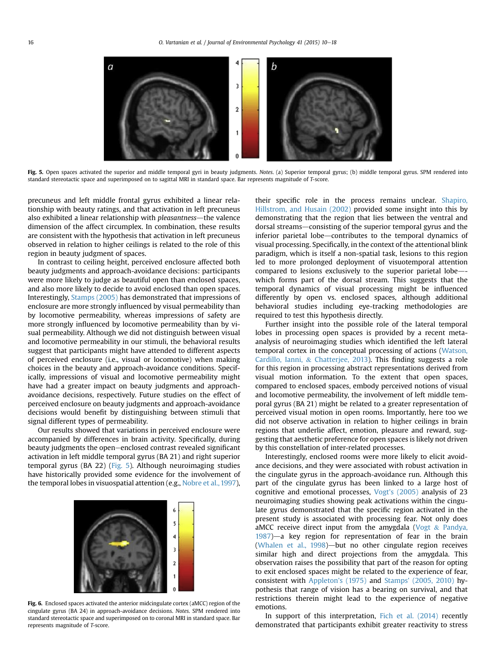<span id="page-6-0"></span>

Fig. 5. Open spaces activated the superior and middle temporal gyri in beauty judgments. Notes. (a) Superior temporal gyrus; (b) middle temporal gyrus. SPM rendered into standard stereotactic space and superimposed on to sagittal MRI in standard space. Bar represents magnitude of T-score.

precuneus and left middle frontal gyrus exhibited a linear relationship with beauty ratings, and that activation in left precuneus also exhibited a linear relationship with *pleasantness*—the valence dimension of the affect circumplex. In combination, these results are consistent with the hypothesis that activation in left precuneus observed in relation to higher ceilings is related to the role of this region in beauty judgment of spaces.

In contrast to ceiling height, perceived enclosure affected both beauty judgments and approach-avoidance decisions: participants were more likely to judge as beautiful open than enclosed spaces, and also more likely to decide to avoid enclosed than open spaces. Interestingly, [Stamps \(2005\)](#page-8-0) has demonstrated that impressions of enclosure are more strongly influenced by visual permeability than by locomotive permeability, whereas impressions of safety are more strongly influenced by locomotive permeability than by visual permeability. Although we did not distinguish between visual and locomotive permeability in our stimuli, the behavioral results suggest that participants might have attended to different aspects of perceived enclosure (i.e., visual or locomotive) when making choices in the beauty and approach-avoidance conditions. Specifically, impressions of visual and locomotive permeability might have had a greater impact on beauty judgments and approachavoidance decisions, respectively. Future studies on the effect of perceived enclosure on beauty judgments and approach-avoidance decisions would benefit by distinguishing between stimuli that signal different types of permeability.

Our results showed that variations in perceived enclosure were accompanied by differences in brain activity. Specifically, during beauty judgments the open-enclosed contrast revealed significant activation in left middle temporal gyrus (BA 21) and right superior temporal gyrus (BA 22) (Fig. 5). Although neuroimaging studies have historically provided some evidence for the involvement of the temporal lobes in visuospatial attention (e.g., [Nobre et al., 1997\)](#page-8-0),



Fig. 6. Enclosed spaces activated the anterior midcingulate cortex (aMCC) region of the cingulate gyrus (BA 24) in approach-avoidance decisions. Notes. SPM rendered into standard stereotactic space and superimposed on to coronal MRI in standard space. Bar represents magnitude of T-score.

their specific role in the process remains unclear. [Shapiro,](#page-8-0) [Hillstrom, and Husain \(2002\)](#page-8-0) provided some insight into this by demonstrating that the region that lies between the ventral and dorsal streams-consisting of the superior temporal gyrus and the inferior parietal lobe-contributes to the temporal dynamics of visual processing. Specifically, in the context of the attentional blink paradigm, which is itself a non-spatial task, lesions to this region led to more prolonged deployment of visuotemporal attention compared to lesions exclusively to the superior parietal lobe-which forms part of the dorsal stream. This suggests that the temporal dynamics of visual processing might be influenced differently by open vs. enclosed spaces, although additional behavioral studies including eye-tracking methodologies are required to test this hypothesis directly.

Further insight into the possible role of the lateral temporal lobes in processing open spaces is provided by a recent metaanalysis of neuroimaging studies which identified the left lateral temporal cortex in the conceptual processing of actions [\(Watson,](#page-8-0) [Cardillo, Ianni,](#page-8-0) & [Chatterjee, 2013](#page-8-0)). This finding suggests a role for this region in processing abstract representations derived from visual motion information. To the extent that open spaces, compared to enclosed spaces, embody perceived notions of visual and locomotive permeability, the involvement of left middle temporal gyrus (BA 21) might be related to a greater representation of perceived visual motion in open rooms. Importantly, here too we did not observe activation in relation to higher ceilings in brain regions that underlie affect, emotion, pleasure and reward, suggesting that aesthetic preference for open spaces is likely not driven by this constellation of inter-related processes.

Interestingly, enclosed rooms were more likely to elicit avoidance decisions, and they were associated with robust activation in the cingulate gyrus in the approach-avoidance run. Although this part of the cingulate gyrus has been linked to a large host of cognitive and emotional processes, [Vogt's \(2005\)](#page-8-0) analysis of 23 neuroimaging studies showing peak activations within the cingulate gyrus demonstrated that the specific region activated in the present study is associated with processing fear. Not only does aMCC receive direct input from the amygdala [\(Vogt](#page-8-0)  $&$  [Pandya,](#page-8-0)  $1987$ )—a key region for representation of fear in the brain (Whalen et al.,  $1998$ )—but no other cingulate region receives similar high and direct projections from the amygdala. This observation raises the possibility that part of the reason for opting to exit enclosed spaces might be related to the experience of fear, consistent with [Appleton's \(1975\)](#page-7-0) and [Stamps' \(2005, 2010\)](#page-8-0) hypothesis that range of vision has a bearing on survival, and that restrictions therein might lead to the experience of negative emotions.

In support of this interpretation, [Fich et al. \(2014\)](#page-7-0) recently demonstrated that participants exhibit greater reactivity to stress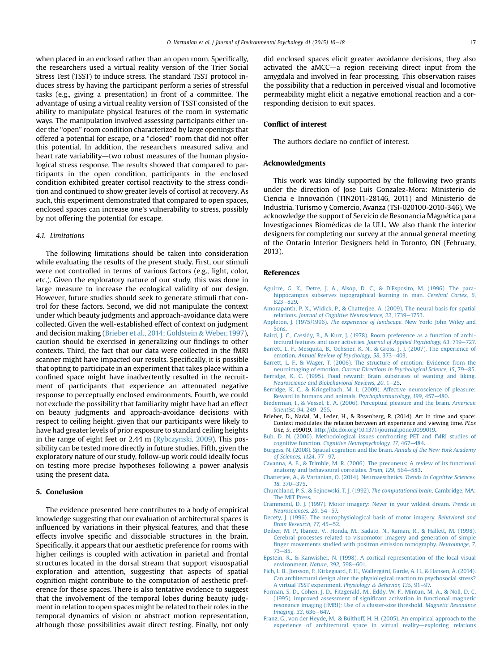<span id="page-7-0"></span>when placed in an enclosed rather than an open room. Specifically, the researchers used a virtual reality version of the Trier Social Stress Test (TSST) to induce stress. The standard TSST protocol induces stress by having the participant perform a series of stressful tasks (e.g., giving a presentation) in front of a committee. The advantage of using a virtual reality version of TSST consisted of the ability to manipulate physical features of the room in systematic ways. The manipulation involved assessing participants either under the "open" room condition characterized by large openings that offered a potential for escape, or a "closed" room that did not offer this potential. In addition, the researchers measured saliva and heart rate variability—two robust measures of the human physiological stress response. The results showed that compared to participants in the open condition, participants in the enclosed condition exhibited greater cortisol reactivity to the stress condition and continued to show greater levels of cortisol at recovery. As such, this experiment demonstrated that compared to open spaces, enclosed spaces can increase one's vulnerability to stress, possibly by not offering the potential for escape.

#### 4.1. Limitations

The following limitations should be taken into consideration while evaluating the results of the present study. First, our stimuli were not controlled in terms of various factors (e.g., light, color, etc.). Given the exploratory nature of our study, this was done in large measure to increase the ecological validity of our design. However, future studies should seek to generate stimuli that control for these factors. Second, we did not manipulate the context under which beauty judgments and approach-avoidance data were collected. Given the well-established effect of context on judgment and decision making (Brieber et al., 2014; Goldstein & Weber, 1997), caution should be exercised in generalizing our findings to other contexts. Third, the fact that our data were collected in the fMRI scanner might have impacted our results. Specifically, it is possible that opting to participate in an experiment that takes place within a confined space might have inadvertently resulted in the recruitment of participants that experience an attenuated negative response to perceptually enclosed environments. Fourth, we could not exclude the possibility that familiarity might have had an effect on beauty judgments and approach-avoidance decisions with respect to ceiling height, given that our participants were likely to have had greater levels of prior exposure to standard ceiling heights in the range of eight feet or 2.44 m ([Rybczynski, 2009\)](#page-8-0). This possibility can be tested more directly in future studies. Fifth, given the exploratory nature of our study, follow-up work could ideally focus on testing more precise hypotheses following a power analysis using the present data.

## 5. Conclusion

The evidence presented here contributes to a body of empirical knowledge suggesting that our evaluation of architectural spaces is influenced by variations in their physical features, and that these effects involve specific and dissociable structures in the brain. Specifically, it appears that our aesthetic preference for rooms with higher ceilings is coupled with activation in parietal and frontal structures located in the dorsal stream that support visuospatial exploration and attention, suggesting that aspects of spatial cognition might contribute to the computation of aesthetic preference for these spaces. There is also tentative evidence to suggest that the involvement of the temporal lobes during beauty judgment in relation to open spaces might be related to their roles in the temporal dynamics of vision or abstract motion representation, although those possibilities await direct testing. Finally, not only

did enclosed spaces elicit greater avoidance decisions, they also activated the aMCC $-$ a region receiving direct input from the amygdala and involved in fear processing. This observation raises the possibility that a reduction in perceived visual and locomotive permeability might elicit a negative emotional reaction and a corresponding decision to exit spaces.

#### Conflict of interest

The authors declare no conflict of interest.

#### Acknowledgments

This work was kindly supported by the following two grants under the direction of Jose Luis Gonzalez-Mora: Ministerio de Ciencia e Innovacion (TIN2011-28146, 2011) and Ministerio de Industria, Turismo y Comercio, Avanza (TSI-020100-2010-346). We acknowledge the support of Servicio de Resonancia Magnetica para Investigaciones Biomedicas de la ULL. We also thank the interior designers for completing our survey at the annual general meeting of the Ontario Interior Designers held in Toronto, ON (February, 2013).

#### References

- [Aguirre, G. K., Detre, J. A., Alsop, D. C., & D'Esposito, M. \(1996\). The para](http://refhub.elsevier.com/S0272-4944(14)00103-0/sref1)[hippocampus subserves topographical learning in man.](http://refhub.elsevier.com/S0272-4944(14)00103-0/sref1) Cerebral Cortex, 6,  $823 - 829$  $823 - 829$  $823 - 829$ .
- [Amorapanth, P. X., Widick, P., & Chatterjee, A. \(2009\). The neural basis for spatial](http://refhub.elsevier.com/S0272-4944(14)00103-0/sref2) relations. [Journal of Cognitive Neuroscience, 22](http://refhub.elsevier.com/S0272-4944(14)00103-0/sref2), 1739-[1753.](http://refhub.elsevier.com/S0272-4944(14)00103-0/sref2)
- Appleton, J. (1975/1996). The experience of landscape[. New York: John Wiley and](http://refhub.elsevier.com/S0272-4944(14)00103-0/sref3) [Sons.](http://refhub.elsevier.com/S0272-4944(14)00103-0/sref3)
- [Baird, J. C., Cassidy, B., & Kurr, J. \(1978\). Room preference as a function of archi](http://refhub.elsevier.com/S0272-4944(14)00103-0/sref4)[tectural features and user activities.](http://refhub.elsevier.com/S0272-4944(14)00103-0/sref4) Journal of Applied Psychology, 63, 719-[727.](http://refhub.elsevier.com/S0272-4944(14)00103-0/sref4)
- [Barrett, L. F., Mesquita, B., Ochsner, K. N., & Gross, J. J. \(2007\). The experience of](http://refhub.elsevier.com/S0272-4944(14)00103-0/sref5) emotion. [Annual Review of Psychology, 58](http://refhub.elsevier.com/S0272-4944(14)00103-0/sref5), 373-[403.](http://refhub.elsevier.com/S0272-4944(14)00103-0/sref5)
- [Barrett, L. F., & Wager, T. \(2006\). The structure of emotion: Evidence from the](http://refhub.elsevier.com/S0272-4944(14)00103-0/sref6) neuroimaging of emotion. [Current Directions in Psychological Science, 15](http://refhub.elsevier.com/S0272-4944(14)00103-0/sref6), 79-[85](http://refhub.elsevier.com/S0272-4944(14)00103-0/sref6).
- [Berridge, K. C. \(1995\). Food reward: Brain substrates of wanting and liking.](http://refhub.elsevier.com/S0272-4944(14)00103-0/sref7) Neuroscience and Biobehavioral Reviews,  $20, 1-25$ .
- [Berridge, K. C., & Kringelbach, M. L. \(2009\). Affective neuroscience of pleasure:](http://refhub.elsevier.com/S0272-4944(14)00103-0/sref8) [Reward in humans and animals.](http://refhub.elsevier.com/S0272-4944(14)00103-0/sref8) Psychopharmacology, 199, 457–[480](http://refhub.elsevier.com/S0272-4944(14)00103-0/sref8).
- [Biederman, I., & Vessel, E. A. \(2006\). Perceptual pleasure and the brain.](http://refhub.elsevier.com/S0272-4944(14)00103-0/sref9) American [Scientist, 94](http://refhub.elsevier.com/S0272-4944(14)00103-0/sref9), 249-[255](http://refhub.elsevier.com/S0272-4944(14)00103-0/sref9).
- Brieber, D., Nadal, M., Leder, H., & Rosenberg, R. (2014). Art in time and space: Context modulates the relation between art experience and viewing time. PLos One, 9, e99019. <http://dx.doi.org/10.1371/journal.pone.0099019>.
- [Bub, D. N. \(2000\). Methodological issues confronting PET and fMRI studies of](http://refhub.elsevier.com/S0272-4944(14)00103-0/sref11) cognitive function. [Cognitive Neuropsychology, 17](http://refhub.elsevier.com/S0272-4944(14)00103-0/sref11), 467-[484](http://refhub.elsevier.com/S0272-4944(14)00103-0/sref11).
- [Burgess, N. \(2008\). Spatial cognition and the brain.](http://refhub.elsevier.com/S0272-4944(14)00103-0/sref12) Annals of the New York Academy [of Sciences, 1124](http://refhub.elsevier.com/S0272-4944(14)00103-0/sref12), 77-[97.](http://refhub.elsevier.com/S0272-4944(14)00103-0/sref12)
- [Cavanna, A. E., & Trimble, M. R. \(2006\). The precuneus: A review of its functional](http://refhub.elsevier.com/S0272-4944(14)00103-0/sref13) [anatomy and behavioural correlates.](http://refhub.elsevier.com/S0272-4944(14)00103-0/sref13) Brain, 129, 564-[583](http://refhub.elsevier.com/S0272-4944(14)00103-0/sref13).
- [Chatterjee, A., & Vartanian, O. \(2014\). Neuroaesthetics.](http://refhub.elsevier.com/S0272-4944(14)00103-0/sref14) Trends in Cognitive Sciences, 18[, 370](http://refhub.elsevier.com/S0272-4944(14)00103-0/sref14)-[375](http://refhub.elsevier.com/S0272-4944(14)00103-0/sref14).
- [Churchland, P. S., & Sejnowski, T. J. \(1992\).](http://refhub.elsevier.com/S0272-4944(14)00103-0/sref15) The computational brain. Cambridge, MA: [The MIT Press](http://refhub.elsevier.com/S0272-4944(14)00103-0/sref15).
- [Crammond, D. J. \(1997\). Motor imagery: Never in your wildest dream.](http://refhub.elsevier.com/S0272-4944(14)00103-0/sref16) Trends in [Neurosciences, 20](http://refhub.elsevier.com/S0272-4944(14)00103-0/sref16), 54–[57.](http://refhub.elsevier.com/S0272-4944(14)00103-0/sref16)
- [Decety, J. \(1996\). The neurophysiological basis of motor imagery.](http://refhub.elsevier.com/S0272-4944(14)00103-0/sref17) Behavioral and [Brain Research, 77](http://refhub.elsevier.com/S0272-4944(14)00103-0/sref17), 45-[52.](http://refhub.elsevier.com/S0272-4944(14)00103-0/sref17)
- [Deiber, M. P., Ibanez, V., Honda, M., Sadato, N., Raman, R., & Hallett, M. \(1998\).](http://refhub.elsevier.com/S0272-4944(14)00103-0/sref18) [Cerebral processes related to visuomotor imagery and generation of simple](http://refhub.elsevier.com/S0272-4944(14)00103-0/sref18) fi[nger movements studied with positron emission tomography.](http://refhub.elsevier.com/S0272-4944(14)00103-0/sref18) Neuroimage, 7,  $73 - 85$  $73 - 85$
- [Epstein, R., & Kanwisher, N. \(1998\). A cortical representation of the local visual](http://refhub.elsevier.com/S0272-4944(14)00103-0/sref19) [environment.](http://refhub.elsevier.com/S0272-4944(14)00103-0/sref19) Nature, 392, 598-[601.](http://refhub.elsevier.com/S0272-4944(14)00103-0/sref19)
- Fich, L. B., Jönsson, P., Kirkegaard, P. H., Wallergård, Garde, A. H., & Hansen, Å. (2014). [Can architectural design alter the physiological reaction to psychosocial stress?](http://refhub.elsevier.com/S0272-4944(14)00103-0/sref20) [A virtual TSST experiment.](http://refhub.elsevier.com/S0272-4944(14)00103-0/sref20) Physiology & [Behavior, 135](http://refhub.elsevier.com/S0272-4944(14)00103-0/sref20), 91-97
- [Forman, S. D., Cohen, J. D., Fitzgerald, M., Eddy, W. F., Mintun, M. A., & Noll, D. C.](http://refhub.elsevier.com/S0272-4944(14)00103-0/sref21) (1995). improved assessment of signifi[cant activation in functional magnetic](http://refhub.elsevier.com/S0272-4944(14)00103-0/sref21) [resonance imaging \(fMRI\): Use of a cluster-size threshold.](http://refhub.elsevier.com/S0272-4944(14)00103-0/sref21) Magnetic Resonance [Imaging, 33](http://refhub.elsevier.com/S0272-4944(14)00103-0/sref21), 636-[647.](http://refhub.elsevier.com/S0272-4944(14)00103-0/sref21)
- [Franz, G., von der Heyde, M., & Bülthoff, H. H. \(2005\). An empirical approach to the](http://refhub.elsevier.com/S0272-4944(14)00103-0/sref22) [experience of architectural space in virtual reality](http://refhub.elsevier.com/S0272-4944(14)00103-0/sref22)-[exploring relations](http://refhub.elsevier.com/S0272-4944(14)00103-0/sref22)